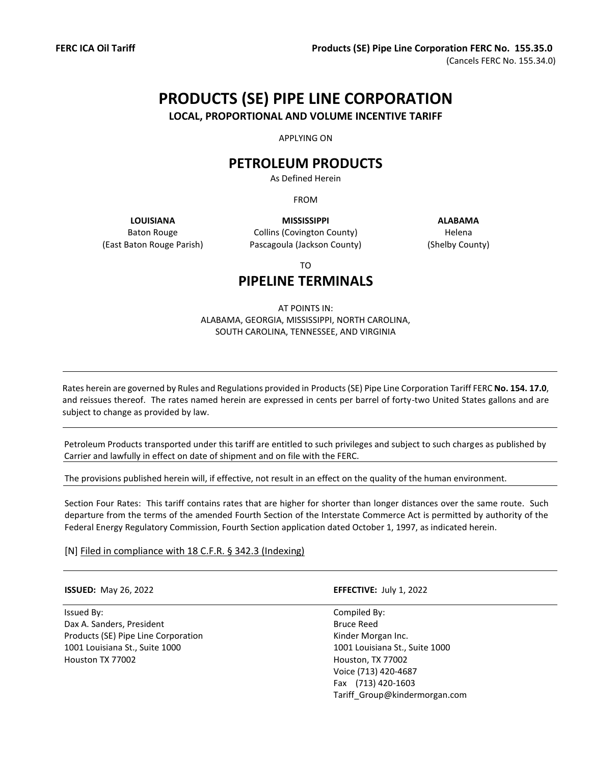# **PRODUCTS (SE) PIPE LINE CORPORATION**

**LOCAL, PROPORTIONAL AND VOLUME INCENTIVE TARIFF**

APPLYING ON

## **PETROLEUM PRODUCTS**

As Defined Herein

FROM

Baton Rouge (East Baton Rouge Parish)

**LOUISIANA MISSISSIPPI ALABAMA** Collins (Covington County) Pascagoula (Jackson County)

Helena (Shelby County)

TO

## **PIPELINE TERMINALS**

#### AT POINTS IN: ALABAMA, GEORGIA, MISSISSIPPI, NORTH CAROLINA, SOUTH CAROLINA, TENNESSEE, AND VIRGINIA

Rates herein are governed by Rules and Regulations provided in Products (SE) Pipe Line Corporation Tariff FERC **No. 154. 17.0**, and reissues thereof. The rates named herein are expressed in cents per barrel of forty-two United States gallons and are subject to change as provided by law.

Petroleum Products transported under this tariff are entitled to such privileges and subject to such charges as published by Carrier and lawfully in effect on date of shipment and on file with the FERC.

The provisions published herein will, if effective, not result in an effect on the quality of the human environment.

Section Four Rates: This tariff contains rates that are higher for shorter than longer distances over the same route. Such departure from the terms of the amended Fourth Section of the Interstate Commerce Act is permitted by authority of the Federal Energy Regulatory Commission, Fourth Section application dated October 1, 1997, as indicated herein.

[N] Filed in compliance with 18 C.F.R. § 342.3 (Indexing)

Issued By: Compiled By: Dax A. Sanders, President Bruce Reed Products (SE) Pipe Line Corporation **Exercise 2018** Kinder Morgan Inc. 1001 Louisiana St., Suite 1000 1001 Louisiana St., Suite 1000 Houston TX 77002 Houston, TX 77002

**ISSUED:** May 26, 2022 **EFFECTIVE:** July 1, 2022

Voice (713) 420-4687 Fax (713) 420-1603 Tariff\_Group@kindermorgan.com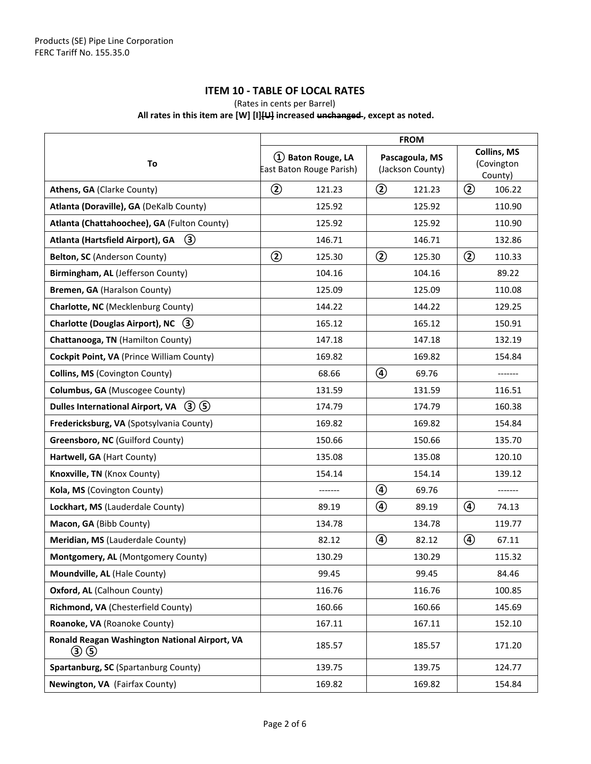#### **ITEM 10 - TABLE OF LOCAL RATES**

#### (Rates in cents per Barrel)

#### **All rates in this item are [W] [I][U] increased unchanged , except as noted.**

|                                                      | <b>FROM</b>                                    |                                    |                                      |
|------------------------------------------------------|------------------------------------------------|------------------------------------|--------------------------------------|
| To                                                   | 1) Baton Rouge, LA<br>East Baton Rouge Parish) | Pascagoula, MS<br>(Jackson County) | Collins, MS<br>(Covington<br>County) |
| Athens, GA (Clarke County)                           | $\circled{2}$<br>121.23                        | $\circled{2}$<br>121.23            | $^{\circledR}$<br>106.22             |
| Atlanta (Doraville), GA (DeKalb County)              | 125.92                                         | 125.92                             | 110.90                               |
| Atlanta (Chattahoochee), GA (Fulton County)          | 125.92                                         | 125.92                             | 110.90                               |
| $\circled{3}$<br>Atlanta (Hartsfield Airport), GA    | 146.71                                         | 146.71                             | 132.86                               |
| Belton, SC (Anderson County)                         | $\circled{2}$<br>125.30                        | $\circled{2}$<br>125.30            | ②<br>110.33                          |
| Birmingham, AL (Jefferson County)                    | 104.16                                         | 104.16                             | 89.22                                |
| Bremen, GA (Haralson County)                         | 125.09                                         | 125.09                             | 110.08                               |
| Charlotte, NC (Mecklenburg County)                   | 144.22                                         | 144.22                             | 129.25                               |
| <b>Charlotte (Douglas Airport), NC</b><br>$(3)$      | 165.12                                         | 165.12                             | 150.91                               |
| Chattanooga, TN (Hamilton County)                    | 147.18                                         | 147.18                             | 132.19                               |
| Cockpit Point, VA (Prince William County)            | 169.82                                         | 169.82                             | 154.84                               |
| Collins, MS (Covington County)                       | 68.66                                          | $\circledcirc$<br>69.76            | -------                              |
| Columbus, GA (Muscogee County)                       | 131.59                                         | 131.59                             | 116.51                               |
| Dulles International Airport, VA $(3)(5)$            | 174.79                                         | 174.79                             | 160.38                               |
| Fredericksburg, VA (Spotsylvania County)             | 169.82                                         | 169.82                             | 154.84                               |
| Greensboro, NC (Guilford County)                     | 150.66                                         | 150.66                             | 135.70                               |
| Hartwell, GA (Hart County)                           | 135.08                                         | 135.08                             | 120.10                               |
| Knoxville, TN (Knox County)                          | 154.14                                         | 154.14                             | 139.12                               |
| Kola, MS (Covington County)                          |                                                | $^{\circledR}$<br>69.76            | -------                              |
| Lockhart, MS (Lauderdale County)                     | 89.19                                          | ④<br>89.19                         | ④<br>74.13                           |
| Macon, GA (Bibb County)                              | 134.78                                         | 134.78                             | 119.77                               |
| Meridian, MS (Lauderdale County)                     | 82.12                                          | ④<br>82.12                         | ④<br>67.11                           |
| Montgomery, AL (Montgomery County)                   | 130.29                                         | 130.29                             | 115.32                               |
| Moundville, AL (Hale County)                         | 99.45                                          | 99.45                              | 84.46                                |
| Oxford, AL (Calhoun County)                          | 116.76                                         | 116.76                             | 100.85                               |
| Richmond, VA (Chesterfield County)                   | 160.66                                         | 160.66                             | 145.69                               |
| Roanoke, VA (Roanoke County)                         | 167.11                                         | 167.11                             | 152.10                               |
| Ronald Reagan Washington National Airport, VA<br>③ ⑤ | 185.57                                         | 185.57                             | 171.20                               |
| Spartanburg, SC (Spartanburg County)                 | 139.75                                         | 139.75                             | 124.77                               |
| Newington, VA (Fairfax County)                       | 169.82                                         | 169.82                             | 154.84                               |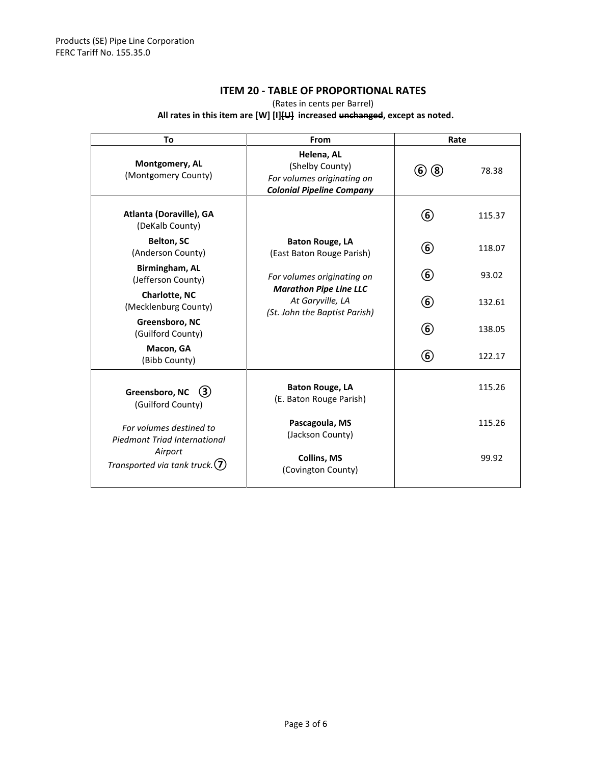#### **ITEM 20 - TABLE OF PROPORTIONAL RATES**

(Rates in cents per Barrel)

#### **All rates in this item are [W] [I][U] increased unchanged, except as noted.**

| To                                                                                                      | From                                                                                            | Rate          |        |
|---------------------------------------------------------------------------------------------------------|-------------------------------------------------------------------------------------------------|---------------|--------|
| Montgomery, AL<br>(Montgomery County)                                                                   | Helena, AL<br>(Shelby County)<br>For volumes originating on<br><b>Colonial Pipeline Company</b> | (6)(8)        | 78.38  |
| Atlanta (Doraville), GA<br>(DeKalb County)                                                              |                                                                                                 | $^\copyright$ | 115.37 |
| <b>Belton, SC</b><br>(Anderson County)                                                                  | <b>Baton Rouge, LA</b><br>(East Baton Rouge Parish)                                             | $^\copyright$ | 118.07 |
| Birmingham, AL<br>(Jefferson County)                                                                    | For volumes originating on                                                                      | $\circledast$ | 93.02  |
| Charlotte, NC<br>(Mecklenburg County)                                                                   | <b>Marathon Pipe Line LLC</b><br>At Garyville, LA<br>(St. John the Baptist Parish)              | 6             | 132.61 |
| Greensboro, NC<br>(Guilford County)                                                                     |                                                                                                 | 6             | 138.05 |
| Macon, GA<br>(Bibb County)                                                                              |                                                                                                 | 6             | 122.17 |
| Greensboro, NC<br>(3)<br>(Guilford County)                                                              | <b>Baton Rouge, LA</b><br>(E. Baton Rouge Parish)                                               |               | 115.26 |
| For volumes destined to<br>Piedmont Triad International<br>Airport<br>Transported via tank truck. $(7)$ | Pascagoula, MS<br>(Jackson County)                                                              |               | 115.26 |
|                                                                                                         | <b>Collins, MS</b><br>(Covington County)                                                        |               | 99.92  |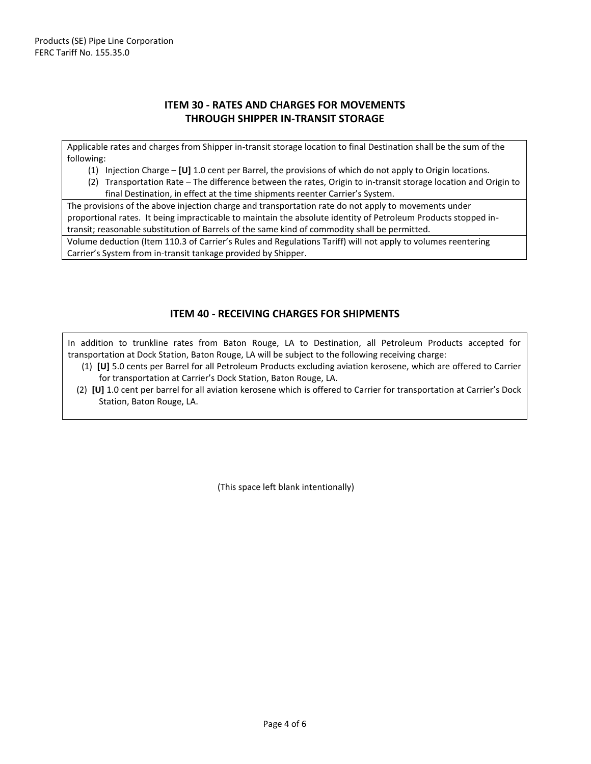#### **ITEM 30 - RATES AND CHARGES FOR MOVEMENTS THROUGH SHIPPER IN-TRANSIT STORAGE**

Applicable rates and charges from Shipper in-transit storage location to final Destination shall be the sum of the following:

- (1) Injection Charge **[U]** 1.0 cent per Barrel, the provisions of which do not apply to Origin locations.
- (2) Transportation Rate The difference between the rates, Origin to in-transit storage location and Origin to final Destination, in effect at the time shipments reenter Carrier's System.

The provisions of the above injection charge and transportation rate do not apply to movements under proportional rates. It being impracticable to maintain the absolute identity of Petroleum Products stopped intransit; reasonable substitution of Barrels of the same kind of commodity shall be permitted.

Volume deduction (Item 110.3 of Carrier's Rules and Regulations Tariff) will not apply to volumes reentering Carrier's System from in-transit tankage provided by Shipper.

#### **ITEM 40 - RECEIVING CHARGES FOR SHIPMENTS**

In addition to trunkline rates from Baton Rouge, LA to Destination, all Petroleum Products accepted for transportation at Dock Station, Baton Rouge, LA will be subject to the following receiving charge:

- (1) **[U]** 5.0 cents per Barrel for all Petroleum Products excluding aviation kerosene, which are offered to Carrier for transportation at Carrier's Dock Station, Baton Rouge, LA.
- (2) **[U]** 1.0 cent per barrel for all aviation kerosene which is offered to Carrier for transportation at Carrier's Dock Station, Baton Rouge, LA.

(This space left blank intentionally)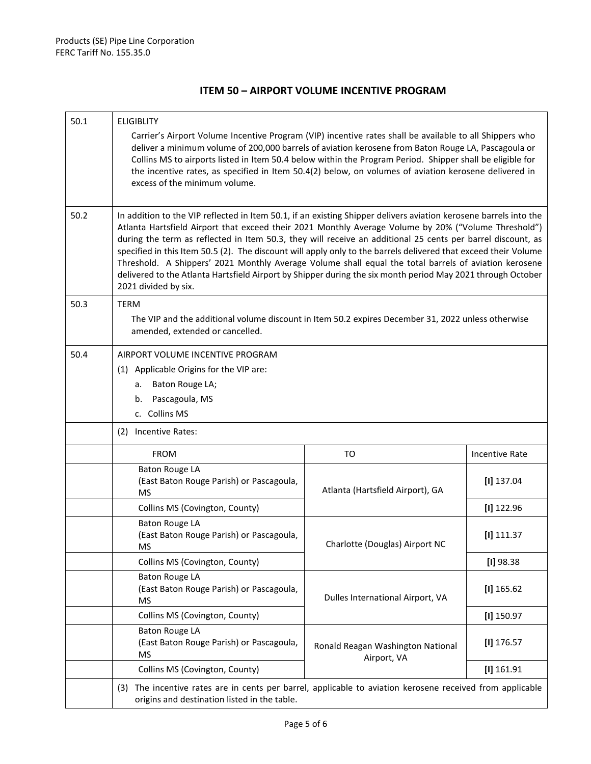#### **ITEM 50 – AIRPORT VOLUME INCENTIVE PROGRAM**

| 50.1 | <b>ELIGIBLITY</b>                                                                                                                                                                                                                                                                                                                                                                                                                                                                                                                                                                                                                                                                                           |                                                  |                       |
|------|-------------------------------------------------------------------------------------------------------------------------------------------------------------------------------------------------------------------------------------------------------------------------------------------------------------------------------------------------------------------------------------------------------------------------------------------------------------------------------------------------------------------------------------------------------------------------------------------------------------------------------------------------------------------------------------------------------------|--------------------------------------------------|-----------------------|
|      | Carrier's Airport Volume Incentive Program (VIP) incentive rates shall be available to all Shippers who<br>deliver a minimum volume of 200,000 barrels of aviation kerosene from Baton Rouge LA, Pascagoula or<br>Collins MS to airports listed in Item 50.4 below within the Program Period. Shipper shall be eligible for<br>the incentive rates, as specified in Item 50.4(2) below, on volumes of aviation kerosene delivered in<br>excess of the minimum volume.                                                                                                                                                                                                                                       |                                                  |                       |
| 50.2 | In addition to the VIP reflected in Item 50.1, if an existing Shipper delivers aviation kerosene barrels into the<br>Atlanta Hartsfield Airport that exceed their 2021 Monthly Average Volume by 20% ("Volume Threshold")<br>during the term as reflected in Item 50.3, they will receive an additional 25 cents per barrel discount, as<br>specified in this Item 50.5 (2). The discount will apply only to the barrels delivered that exceed their Volume<br>Threshold. A Shippers' 2021 Monthly Average Volume shall equal the total barrels of aviation kerosene<br>delivered to the Atlanta Hartsfield Airport by Shipper during the six month period May 2021 through October<br>2021 divided by six. |                                                  |                       |
| 50.3 | <b>TERM</b><br>The VIP and the additional volume discount in Item 50.2 expires December 31, 2022 unless otherwise<br>amended, extended or cancelled.                                                                                                                                                                                                                                                                                                                                                                                                                                                                                                                                                        |                                                  |                       |
| 50.4 | AIRPORT VOLUME INCENTIVE PROGRAM<br>(1) Applicable Origins for the VIP are:<br>a. Baton Rouge LA;<br>b. Pascagoula, MS<br>c. Collins MS                                                                                                                                                                                                                                                                                                                                                                                                                                                                                                                                                                     |                                                  |                       |
|      | (2) Incentive Rates:                                                                                                                                                                                                                                                                                                                                                                                                                                                                                                                                                                                                                                                                                        |                                                  |                       |
|      | <b>FROM</b>                                                                                                                                                                                                                                                                                                                                                                                                                                                                                                                                                                                                                                                                                                 | TO                                               | <b>Incentive Rate</b> |
|      | <b>Baton Rouge LA</b><br>(East Baton Rouge Parish) or Pascagoula,<br><b>MS</b>                                                                                                                                                                                                                                                                                                                                                                                                                                                                                                                                                                                                                              | Atlanta (Hartsfield Airport), GA                 | $[1]$ 137.04          |
|      | Collins MS (Covington, County)                                                                                                                                                                                                                                                                                                                                                                                                                                                                                                                                                                                                                                                                              |                                                  | $[1]$ 122.96          |
|      | <b>Baton Rouge LA</b><br>(East Baton Rouge Parish) or Pascagoula,<br>МS                                                                                                                                                                                                                                                                                                                                                                                                                                                                                                                                                                                                                                     | Charlotte (Douglas) Airport NC                   | $[1]$ 111.37          |
|      | Collins MS (Covington, County)                                                                                                                                                                                                                                                                                                                                                                                                                                                                                                                                                                                                                                                                              |                                                  | $[1]$ 98.38           |
|      | <b>Baton Rouge LA</b><br>(East Baton Rouge Parish) or Pascagoula,<br><b>MS</b>                                                                                                                                                                                                                                                                                                                                                                                                                                                                                                                                                                                                                              | Dulles International Airport, VA                 | $[1]$ 165.62          |
|      | Collins MS (Covington, County)                                                                                                                                                                                                                                                                                                                                                                                                                                                                                                                                                                                                                                                                              |                                                  | $[1]$ 150.97          |
|      | <b>Baton Rouge LA</b><br>(East Baton Rouge Parish) or Pascagoula,<br><b>MS</b>                                                                                                                                                                                                                                                                                                                                                                                                                                                                                                                                                                                                                              | Ronald Reagan Washington National<br>Airport, VA | $[1]$ 176.57          |
|      | Collins MS (Covington, County)                                                                                                                                                                                                                                                                                                                                                                                                                                                                                                                                                                                                                                                                              |                                                  | $[1]$ 161.91          |
|      | (3) The incentive rates are in cents per barrel, applicable to aviation kerosene received from applicable<br>origins and destination listed in the table.                                                                                                                                                                                                                                                                                                                                                                                                                                                                                                                                                   |                                                  |                       |